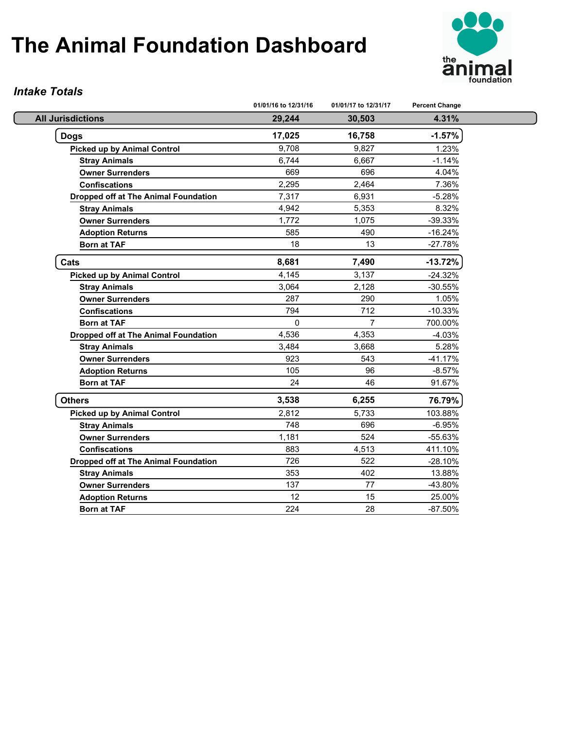

#### *Intake Totals*

|                                             | 01/01/16 to 12/31/16 | 01/01/17 to 12/31/17 | <b>Percent Change</b> |
|---------------------------------------------|----------------------|----------------------|-----------------------|
| <b>All Jurisdictions</b>                    | 29,244               | 30,503               | 4.31%                 |
| <b>Dogs</b>                                 | 17,025               | 16,758               | $-1.57%$              |
| Picked up by Animal Control                 | 9,708                | 9,827                | 1.23%                 |
| <b>Stray Animals</b>                        | 6,744                | 6,667                | $-1.14%$              |
| <b>Owner Surrenders</b>                     | 669                  | 696                  | 4.04%                 |
| <b>Confiscations</b>                        | 2,295                | 2,464                | 7.36%                 |
| <b>Dropped off at The Animal Foundation</b> | 7,317                | 6,931                | $-5.28%$              |
| <b>Stray Animals</b>                        | 4,942                | 5,353                | 8.32%                 |
| <b>Owner Surrenders</b>                     | 1,772                | 1,075                | $-39.33%$             |
| <b>Adoption Returns</b>                     | 585                  | 490                  | $-16.24%$             |
| <b>Born at TAF</b>                          | 18                   | 13                   | $-27.78%$             |
| Cats                                        | 8,681                | 7,490                | $-13.72%$             |
| <b>Picked up by Animal Control</b>          | 4,145                | 3,137                | $-24.32%$             |
| <b>Stray Animals</b>                        | 3,064                | 2,128                | $-30.55%$             |
| <b>Owner Surrenders</b>                     | 287                  | 290                  | 1.05%                 |
| <b>Confiscations</b>                        | 794                  | 712                  | $-10.33%$             |
| <b>Born at TAF</b>                          | $\mathbf 0$          | $\overline{7}$       | 700.00%               |
| <b>Dropped off at The Animal Foundation</b> | 4,536                | 4,353                | $-4.03%$              |
| <b>Stray Animals</b>                        | 3,484                | 3,668                | 5.28%                 |
| <b>Owner Surrenders</b>                     | 923                  | 543                  | $-41.17%$             |
| <b>Adoption Returns</b>                     | 105                  | 96                   | $-8.57%$              |
| <b>Born at TAF</b>                          | 24                   | 46                   | 91.67%                |
| <b>Others</b>                               | 3,538                | 6,255                | 76.79%                |
| Picked up by Animal Control                 | 2,812                | 5,733                | 103.88%               |
| <b>Stray Animals</b>                        | 748                  | 696                  | $-6.95%$              |
| <b>Owner Surrenders</b>                     | 1,181                | 524                  | -55.63%               |
| <b>Confiscations</b>                        | 883                  | 4,513                | 411.10%               |
| <b>Dropped off at The Animal Foundation</b> | 726                  | 522                  | $-28.10%$             |
| <b>Stray Animals</b>                        | 353                  | 402                  | 13.88%                |
| <b>Owner Surrenders</b>                     | 137                  | 77                   | -43.80%               |
| <b>Adoption Returns</b>                     | 12                   | 15                   | 25.00%                |
| <b>Born at TAF</b>                          | 224                  | 28                   | $-87.50%$             |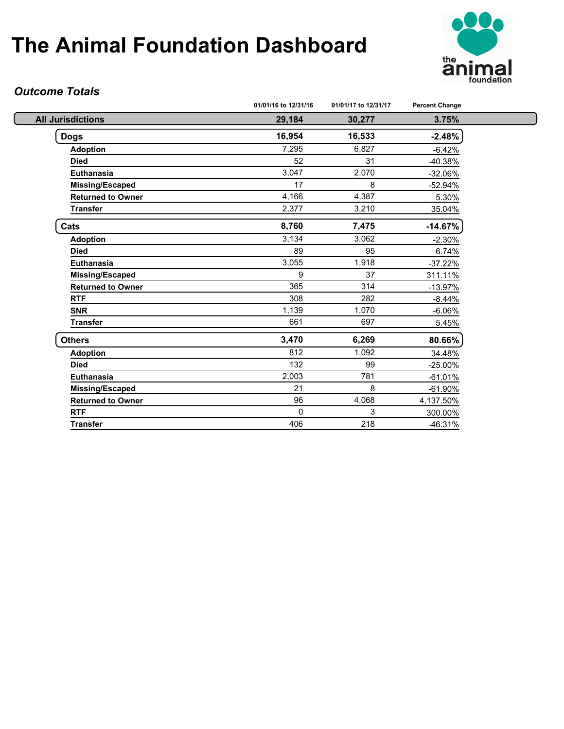

### *Outcome Totals*

| 3.75%<br>29,184<br>30,277<br>$-2.48%$<br>16,954<br>16,533<br><b>Adoption</b><br>7,295<br>6,827<br>$-6.42%$<br>52<br>31<br><b>Died</b><br>$-40.38%$<br>3,047<br>2,070<br>Euthanasia<br>$-32.06%$<br>17<br>8<br><b>Missing/Escaped</b><br>$-52.94%$<br>4,166<br>4,387<br><b>Returned to Owner</b><br>5.30%<br><b>Transfer</b><br>2,377<br>3,210<br>35.04%<br>8,760<br>7,475<br>$-14.67%$<br>3,134<br>3,062<br><b>Adoption</b><br>$-2.30%$<br>89<br>95<br><b>Died</b><br>6.74%<br>3,055<br>1,918<br><b>Euthanasia</b><br>$-37.22%$<br>9<br>37<br>Missing/Escaped<br>311.11%<br>365<br><b>Returned to Owner</b><br>314<br>$-13.97%$<br>308<br>282<br><b>RTF</b><br>$-8.44%$<br>1,139<br>1,070<br><b>SNR</b><br>$-6.06%$<br>661<br>697<br><b>Transfer</b><br>5.45%<br>6,269<br>80.66%<br>3,470<br>812<br>1,092<br><b>Adoption</b><br>34.48%<br>132<br>99<br><b>Died</b><br>$-25.00%$<br>2,003<br>781<br><b>Euthanasia</b><br>$-61.01%$<br>21<br>8<br><b>Missing/Escaped</b><br>$-61.90%$ |                          | 01/01/16 to 12/31/16 | 01/01/17 to 12/31/17 | <b>Percent Change</b> |
|-------------------------------------------------------------------------------------------------------------------------------------------------------------------------------------------------------------------------------------------------------------------------------------------------------------------------------------------------------------------------------------------------------------------------------------------------------------------------------------------------------------------------------------------------------------------------------------------------------------------------------------------------------------------------------------------------------------------------------------------------------------------------------------------------------------------------------------------------------------------------------------------------------------------------------------------------------------------------------------|--------------------------|----------------------|----------------------|-----------------------|
|                                                                                                                                                                                                                                                                                                                                                                                                                                                                                                                                                                                                                                                                                                                                                                                                                                                                                                                                                                                     | <b>All Jurisdictions</b> |                      |                      |                       |
|                                                                                                                                                                                                                                                                                                                                                                                                                                                                                                                                                                                                                                                                                                                                                                                                                                                                                                                                                                                     | <b>Dogs</b>              |                      |                      |                       |
|                                                                                                                                                                                                                                                                                                                                                                                                                                                                                                                                                                                                                                                                                                                                                                                                                                                                                                                                                                                     |                          |                      |                      |                       |
|                                                                                                                                                                                                                                                                                                                                                                                                                                                                                                                                                                                                                                                                                                                                                                                                                                                                                                                                                                                     |                          |                      |                      |                       |
|                                                                                                                                                                                                                                                                                                                                                                                                                                                                                                                                                                                                                                                                                                                                                                                                                                                                                                                                                                                     |                          |                      |                      |                       |
|                                                                                                                                                                                                                                                                                                                                                                                                                                                                                                                                                                                                                                                                                                                                                                                                                                                                                                                                                                                     |                          |                      |                      |                       |
|                                                                                                                                                                                                                                                                                                                                                                                                                                                                                                                                                                                                                                                                                                                                                                                                                                                                                                                                                                                     |                          |                      |                      |                       |
|                                                                                                                                                                                                                                                                                                                                                                                                                                                                                                                                                                                                                                                                                                                                                                                                                                                                                                                                                                                     |                          |                      |                      |                       |
|                                                                                                                                                                                                                                                                                                                                                                                                                                                                                                                                                                                                                                                                                                                                                                                                                                                                                                                                                                                     | Cats                     |                      |                      |                       |
|                                                                                                                                                                                                                                                                                                                                                                                                                                                                                                                                                                                                                                                                                                                                                                                                                                                                                                                                                                                     |                          |                      |                      |                       |
|                                                                                                                                                                                                                                                                                                                                                                                                                                                                                                                                                                                                                                                                                                                                                                                                                                                                                                                                                                                     |                          |                      |                      |                       |
|                                                                                                                                                                                                                                                                                                                                                                                                                                                                                                                                                                                                                                                                                                                                                                                                                                                                                                                                                                                     |                          |                      |                      |                       |
|                                                                                                                                                                                                                                                                                                                                                                                                                                                                                                                                                                                                                                                                                                                                                                                                                                                                                                                                                                                     |                          |                      |                      |                       |
|                                                                                                                                                                                                                                                                                                                                                                                                                                                                                                                                                                                                                                                                                                                                                                                                                                                                                                                                                                                     |                          |                      |                      |                       |
|                                                                                                                                                                                                                                                                                                                                                                                                                                                                                                                                                                                                                                                                                                                                                                                                                                                                                                                                                                                     |                          |                      |                      |                       |
|                                                                                                                                                                                                                                                                                                                                                                                                                                                                                                                                                                                                                                                                                                                                                                                                                                                                                                                                                                                     |                          |                      |                      |                       |
|                                                                                                                                                                                                                                                                                                                                                                                                                                                                                                                                                                                                                                                                                                                                                                                                                                                                                                                                                                                     |                          |                      |                      |                       |
|                                                                                                                                                                                                                                                                                                                                                                                                                                                                                                                                                                                                                                                                                                                                                                                                                                                                                                                                                                                     | <b>Others</b>            |                      |                      |                       |
|                                                                                                                                                                                                                                                                                                                                                                                                                                                                                                                                                                                                                                                                                                                                                                                                                                                                                                                                                                                     |                          |                      |                      |                       |
|                                                                                                                                                                                                                                                                                                                                                                                                                                                                                                                                                                                                                                                                                                                                                                                                                                                                                                                                                                                     |                          |                      |                      |                       |
|                                                                                                                                                                                                                                                                                                                                                                                                                                                                                                                                                                                                                                                                                                                                                                                                                                                                                                                                                                                     |                          |                      |                      |                       |
|                                                                                                                                                                                                                                                                                                                                                                                                                                                                                                                                                                                                                                                                                                                                                                                                                                                                                                                                                                                     |                          |                      |                      |                       |
|                                                                                                                                                                                                                                                                                                                                                                                                                                                                                                                                                                                                                                                                                                                                                                                                                                                                                                                                                                                     | <b>Returned to Owner</b> | 96                   | 4,068                | 4,137.50%             |
| 3<br>$\Omega$<br><b>RTF</b><br>300.00%                                                                                                                                                                                                                                                                                                                                                                                                                                                                                                                                                                                                                                                                                                                                                                                                                                                                                                                                              |                          |                      |                      |                       |
| 406<br><b>Transfer</b><br>218<br>$-46.31%$                                                                                                                                                                                                                                                                                                                                                                                                                                                                                                                                                                                                                                                                                                                                                                                                                                                                                                                                          |                          |                      |                      |                       |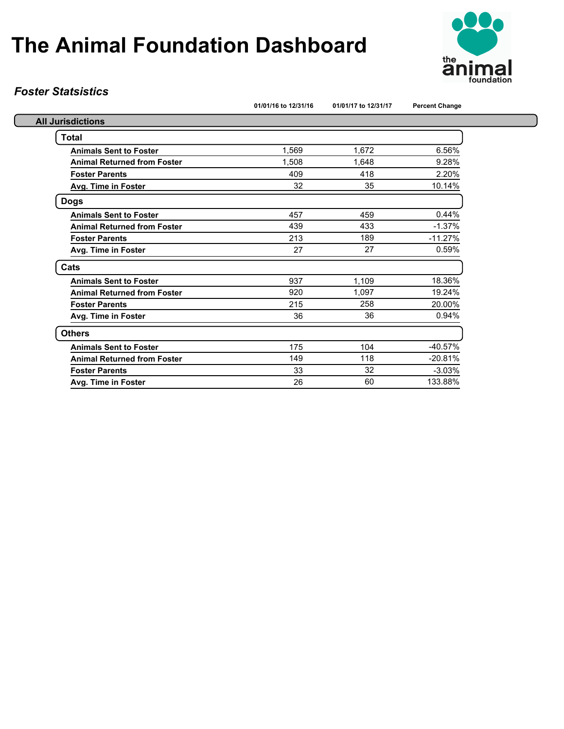

### *Foster Statsistics*

|  | 01/01/16 to 12/31/16 |
|--|----------------------|
|  |                      |

**01/01/16 to 12/31/16 01/01/17 to 12/31/17 Percent Change**

| <b>All Jurisdictions</b>           |       |       |           |
|------------------------------------|-------|-------|-----------|
| Total                              |       |       |           |
| <b>Animals Sent to Foster</b>      | 1,569 | 1,672 | 6.56%     |
| <b>Animal Returned from Foster</b> | 1,508 | 1.648 | 9.28%     |
| <b>Foster Parents</b>              | 409   | 418   | 2.20%     |
| Avg. Time in Foster                | 32    | 35    | 10.14%    |
| Dogs                               |       |       |           |
| <b>Animals Sent to Foster</b>      | 457   | 459   | 0.44%     |
| <b>Animal Returned from Foster</b> | 439   | 433   | $-1.37%$  |
| <b>Foster Parents</b>              | 213   | 189   | $-11.27%$ |
| Avg. Time in Foster                | 27    | 27    | 0.59%     |
| Cats                               |       |       |           |
| <b>Animals Sent to Foster</b>      | 937   | 1,109 | 18.36%    |
| <b>Animal Returned from Foster</b> | 920   | 1.097 | 19.24%    |
| <b>Foster Parents</b>              | 215   | 258   | 20.00%    |
| Avg. Time in Foster                | 36    | 36    | 0.94%     |
| <b>Others</b>                      |       |       |           |
| <b>Animals Sent to Foster</b>      | 175   | 104   | $-40.57%$ |
| <b>Animal Returned from Foster</b> | 149   | 118   | $-20.81%$ |
| <b>Foster Parents</b>              | 33    | 32    | $-3.03%$  |
| Avg. Time in Foster                | 26    | 60    | 133.88%   |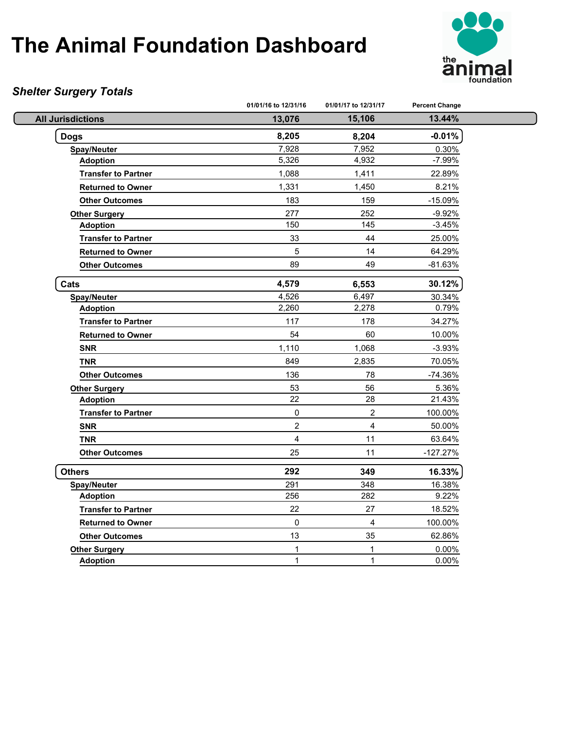

### *Shelter Surgery Totals*

|                            | 01/01/16 to 12/31/16 | 01/01/17 to 12/31/17    | <b>Percent Change</b> |
|----------------------------|----------------------|-------------------------|-----------------------|
| <b>All Jurisdictions</b>   | 13,076               | 15,106                  | 13.44%                |
| <b>Dogs</b>                | 8,205                | 8,204                   | $-0.01%$              |
| <b>Spay/Neuter</b>         | 7,928                | 7,952                   | 0.30%                 |
| <b>Adoption</b>            | 5,326                | 4,932                   | $-7.99%$              |
| <b>Transfer to Partner</b> | 1,088                | 1,411                   | 22.89%                |
| <b>Returned to Owner</b>   | 1,331                | 1,450                   | 8.21%                 |
| <b>Other Outcomes</b>      | 183                  | 159                     | $-15.09%$             |
| <b>Other Surgery</b>       | 277                  | 252                     | $-9.92%$              |
| <b>Adoption</b>            | 150                  | 145                     | $-3.45%$              |
| <b>Transfer to Partner</b> | 33                   | 44                      | 25.00%                |
| <b>Returned to Owner</b>   | 5                    | 14                      | 64.29%                |
| <b>Other Outcomes</b>      | 89                   | 49                      | $-81.63%$             |
| Cats                       | 4,579                | 6,553                   | 30.12%                |
| <b>Spay/Neuter</b>         | 4,526                | 6,497                   | 30.34%                |
| <b>Adoption</b>            | 2,260                | 2,278                   | 0.79%                 |
| <b>Transfer to Partner</b> | 117                  | 178                     | 34.27%                |
| <b>Returned to Owner</b>   | 54                   | 60                      | 10.00%                |
| <b>SNR</b>                 | 1,110                | 1,068                   | $-3.93%$              |
| <b>TNR</b>                 | 849                  | 2,835                   | 70.05%                |
| <b>Other Outcomes</b>      | 136                  | 78                      | -74.36%               |
| <b>Other Surgery</b>       | 53                   | 56                      | 5.36%                 |
| <b>Adoption</b>            | 22                   | 28                      | 21.43%                |
| <b>Transfer to Partner</b> | $\pmb{0}$            | $\overline{c}$          | 100.00%               |
| <b>SNR</b>                 | $\boldsymbol{2}$     | $\overline{\mathbf{4}}$ | 50.00%                |
| <b>TNR</b>                 | $\overline{4}$       | 11                      | 63.64%                |
| <b>Other Outcomes</b>      | 25                   | 11                      | $-127.27%$            |
| <b>Others</b>              | 292                  | 349                     | 16.33%                |
| <b>Spay/Neuter</b>         | 291                  | 348                     | 16.38%                |
| <b>Adoption</b>            | 256                  | 282                     | 9.22%                 |
| <b>Transfer to Partner</b> | 22                   | 27                      | 18.52%                |
| <b>Returned to Owner</b>   | $\pmb{0}$            | $\overline{4}$          | 100.00%               |
| <b>Other Outcomes</b>      | 13                   | 35                      | 62.86%                |
| <b>Other Surgery</b>       | 1                    | $\mathbf{1}$            | 0.00%                 |
| <b>Adoption</b>            | $\mathbf{1}$         | $\mathbf{1}$            | 0.00%                 |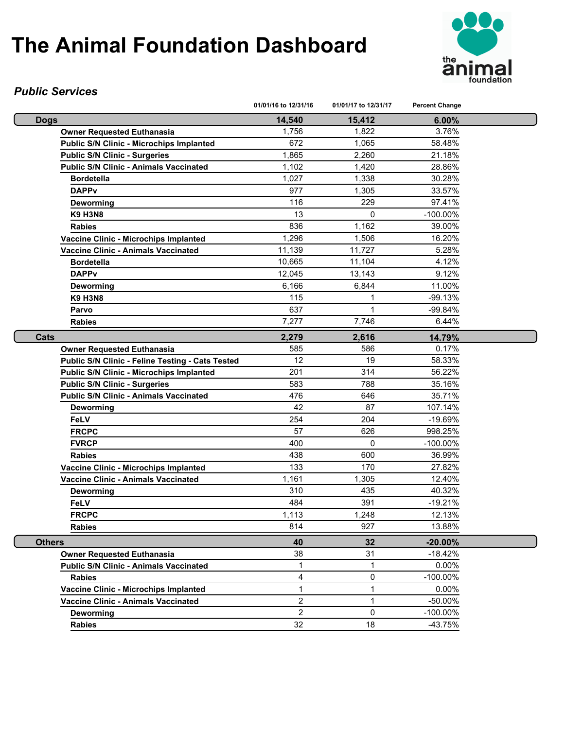

#### *Public Services*

|                                                                                                     | 01/01/16 to 12/31/16 | 01/01/17 to 12/31/17 | <b>Percent Change</b> |  |
|-----------------------------------------------------------------------------------------------------|----------------------|----------------------|-----------------------|--|
| <b>Dogs</b>                                                                                         | 14,540               | 15,412               | 6.00%                 |  |
| <b>Owner Requested Euthanasia</b>                                                                   | 1,756                | 1,822                | 3.76%                 |  |
| <b>Public S/N Clinic - Microchips Implanted</b>                                                     | 672                  | 1,065                | 58.48%                |  |
| <b>Public S/N Clinic - Surgeries</b>                                                                | 1,865                | 2,260                | 21.18%                |  |
| <b>Public S/N Clinic - Animals Vaccinated</b>                                                       | 1,102                | 1,420                | 28.86%                |  |
| <b>Bordetella</b>                                                                                   | 1,027                | 1,338                | 30.28%                |  |
| <b>DAPPv</b>                                                                                        | 977                  | 1,305                | 33.57%                |  |
| Deworming                                                                                           | 116                  | 229                  | 97.41%                |  |
| <b>K9 H3N8</b>                                                                                      | 13                   | $\Omega$             | $-100.00\%$           |  |
| <b>Rabies</b>                                                                                       | 836                  | 1,162                | 39.00%                |  |
| Vaccine Clinic - Microchips Implanted                                                               | 1,296                | 1,506                | 16.20%                |  |
| Vaccine Clinic - Animals Vaccinated                                                                 | 11,139               | 11,727               | 5.28%                 |  |
| <b>Bordetella</b>                                                                                   | 10,665               | 11,104               | 4.12%                 |  |
| <b>DAPPv</b>                                                                                        | 12,045               | 13,143               | 9.12%                 |  |
| Deworming                                                                                           | 6,166                | 6,844                | 11.00%                |  |
| <b>K9 H3N8</b>                                                                                      | 115                  | 1                    | $-99.13%$             |  |
| Parvo                                                                                               | 637                  | 1                    | -99.84%               |  |
| <b>Rabies</b>                                                                                       | 7,277                | 7,746                | 6.44%                 |  |
| Cats                                                                                                | 2,279                | 2,616                | 14.79%                |  |
| <b>Owner Requested Euthanasia</b>                                                                   | 585                  | 586                  | 0.17%                 |  |
| Public S/N Clinic - Feline Testing - Cats Tested                                                    | 12                   | 19                   | 58.33%                |  |
| <b>Public S/N Clinic - Microchips Implanted</b>                                                     | 201                  | 314                  | 56.22%                |  |
| <b>Public S/N Clinic - Surgeries</b>                                                                | 583                  | 788                  | 35.16%                |  |
| <b>Public S/N Clinic - Animals Vaccinated</b>                                                       | 476                  | 646                  | 35.71%                |  |
| <b>Deworming</b>                                                                                    | 42                   | 87                   | 107.14%               |  |
| <b>FeLV</b>                                                                                         | 254                  | 204                  | $-19.69%$             |  |
| <b>FRCPC</b>                                                                                        | 57                   | 626                  | 998.25%               |  |
| <b>FVRCP</b>                                                                                        | 400                  | 0                    | $-100.00\%$           |  |
| <b>Rabies</b>                                                                                       | 438                  | 600                  | 36.99%                |  |
| Vaccine Clinic - Microchips Implanted                                                               | 133                  | 170                  | 27.82%                |  |
| Vaccine Clinic - Animals Vaccinated                                                                 | 1,161                | 1,305                | 12.40%                |  |
| Deworming                                                                                           | 310                  | 435                  | 40.32%                |  |
| FeLV                                                                                                | 484                  | 391                  | $-19.21%$             |  |
| <b>FRCPC</b>                                                                                        | 1,113                | 1,248                | 12.13%                |  |
| <b>Rabies</b>                                                                                       | 814                  | 927                  | 13.88%                |  |
| <b>Others</b>                                                                                       | 40                   | 32                   | $-20.00%$             |  |
| <b>Owner Requested Euthanasia</b>                                                                   | 38                   | 31                   | $-18.42%$             |  |
| <b>Public S/N Clinic - Animals Vaccinated</b>                                                       | 1                    | 1                    | 0.00%                 |  |
| <b>Rabies</b>                                                                                       | 4                    | 0                    | $-100.00\%$           |  |
| Vaccine Clinic - Microchips Implanted                                                               | 1                    | 1                    | 0.00%                 |  |
| Vaccine Clinic - Animals Vaccinated                                                                 | $\overline{2}$       | $\mathbf{1}$         | -50.00%               |  |
| $\overline{2}$<br>$\mathbf 0$<br>$-100.00\%$<br>Deworming<br>32<br>18<br>$-43.75%$<br><b>Rabies</b> |                      |                      |                       |  |
|                                                                                                     |                      |                      |                       |  |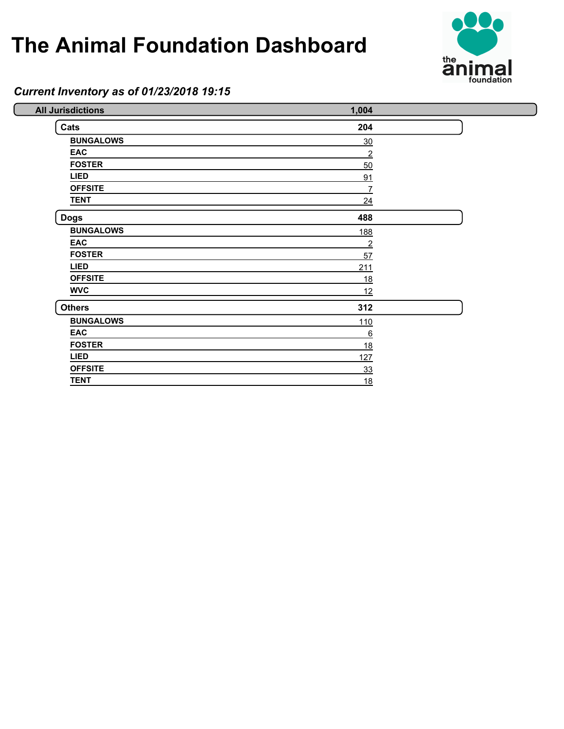

### *Current Inventory as of 01/23/2018 19:15*

| <b>All Jurisdictions</b> | 1,004          |  |
|--------------------------|----------------|--|
| Cats                     | 204            |  |
| <b>BUNGALOWS</b>         | 30             |  |
| <b>EAC</b>               | $\overline{2}$ |  |
| <b>FOSTER</b>            | 50             |  |
| <b>LIED</b>              | 91             |  |
| <b>OFFSITE</b>           | 7              |  |
| <b>TENT</b>              | 24             |  |
| <b>Dogs</b>              | 488            |  |
| <b>BUNGALOWS</b>         | <u>188</u>     |  |
| <b>EAC</b>               | $\overline{2}$ |  |
| <b>FOSTER</b>            | 57             |  |
| <b>LIED</b>              | 211            |  |
| <b>OFFSITE</b>           | 18             |  |
| <b>WVC</b>               | 12             |  |
| <b>Others</b>            | 312            |  |
| <b>BUNGALOWS</b>         | 110            |  |
| <b>EAC</b>               | 6              |  |
| <b>FOSTER</b>            | 18             |  |
| <b>LIED</b>              | 127            |  |
| <b>OFFSITE</b>           | 33             |  |
| <b>TENT</b>              | 18             |  |
|                          |                |  |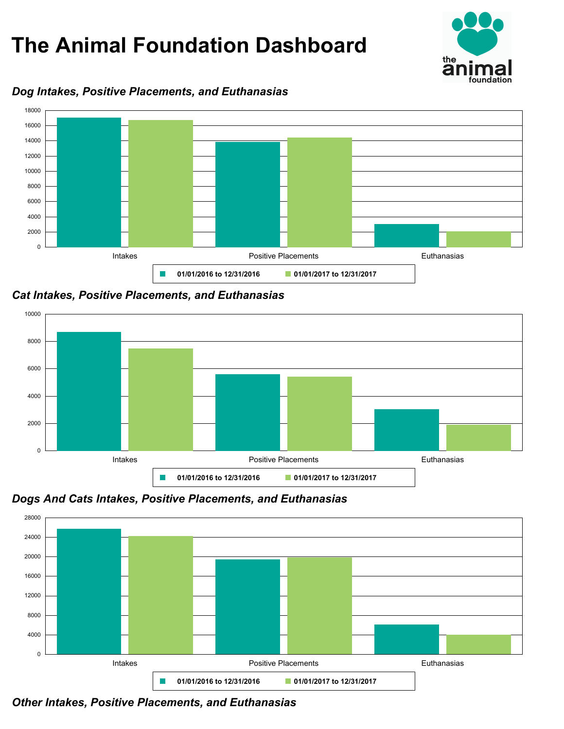

### *Dog Intakes, Positive Placements, and Euthanasias*



*Cat Intakes, Positive Placements, and Euthanasias*



*Dogs And Cats Intakes, Positive Placements, and Euthanasias*



*Other Intakes, Positive Placements, and Euthanasias*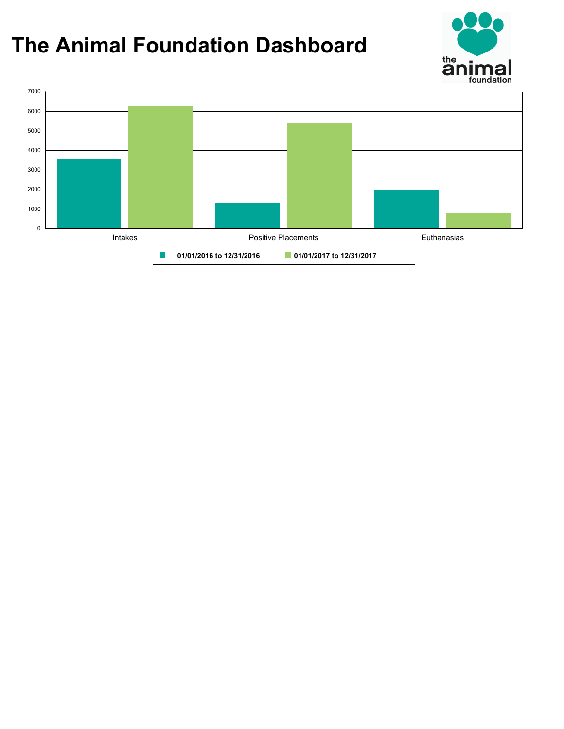